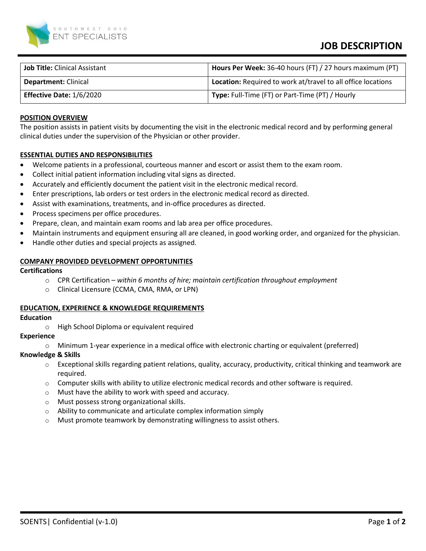

# **JOB DESCRIPTION**

| <b>Job Title: Clinical Assistant</b> | Hours Per Week: 36-40 hours (FT) / 27 hours maximum (PT)            |
|--------------------------------------|---------------------------------------------------------------------|
| <b>Department: Clinical</b>          | <b>Location:</b> Required to work at/travel to all office locations |
| Effective Date: 1/6/2020             | Type: Full-Time (FT) or Part-Time (PT) / Hourly                     |

### **POSITION OVERVIEW**

The position assists in patient visits by documenting the visit in the electronic medical record and by performing general clinical duties under the supervision of the Physician or other provider.

## **ESSENTIAL DUTIES AND RESPONSIBILITIES**

- Welcome patients in a professional, courteous manner and escort or assist them to the exam room.
- Collect initial patient information including vital signs as directed.
- Accurately and efficiently document the patient visit in the electronic medical record.
- Enter prescriptions, lab orders or test orders in the electronic medical record as directed.
- Assist with examinations, treatments, and in-office procedures as directed.
- Process specimens per office procedures.
- Prepare, clean, and maintain exam rooms and lab area per office procedures.
- Maintain instruments and equipment ensuring all are cleaned, in good working order, and organized for the physician.
- Handle other duties and special projects as assigned.

## **COMPANY PROVIDED DEVELOPMENT OPPORTUNITIES**

#### **Certifications**

- o CPR Certification *within 6 months of hire; maintain certification throughout employment*
- o Clinical Licensure (CCMA, CMA, RMA, or LPN)

#### **EDUCATION, EXPERIENCE & KNOWLEDGE REQUIREMENTS**

#### **Education**

o High School Diploma or equivalent required

## **Experience**

o Minimum 1-year experience in a medical office with electronic charting or equivalent (preferred)

#### **Knowledge & Skills**

- $\circ$  Exceptional skills regarding patient relations, quality, accuracy, productivity, critical thinking and teamwork are required.
- $\circ$  Computer skills with ability to utilize electronic medical records and other software is required.
- o Must have the ability to work with speed and accuracy.
- o Must possess strong organizational skills.
- o Ability to communicate and articulate complex information simply
- o Must promote teamwork by demonstrating willingness to assist others.